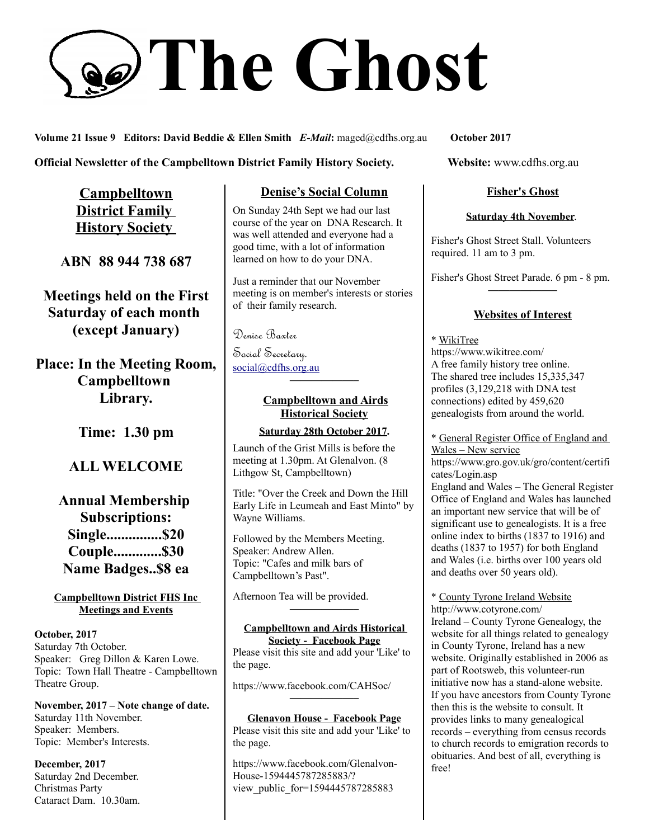# **The Ghost**

**Volume 21 Issue 9 Editors: David Beddie & Ellen Smith** *E-Mail***:** maged@cdfhs.org.au **October 2017**

#### **Official Newsletter of the Campbelltown District Family History Society. Website: www.cdfhs.org.au**

**Campbelltown District Family History Society** 

**ABN 88 944 738 687**

**Meetings held on the First Saturday of each month (except January)**

# **Place: In the Meeting Room, Campbelltown Library.**

**Time: 1.30 pm**

# **ALL WELCOME**

# **Annual Membership Subscriptions: Single...............\$20 Couple.............\$30 Name Badges..\$8 ea**

#### **Campbelltown District FHS Inc Meetings and Events**

**October, 2017** Saturday 7th October. Speaker: Greg Dillon & Karen Lowe. Topic: Town Hall Theatre - Campbelltown Theatre Group.

**November, 2017 – Note change of date.** Saturday 11th November. Speaker: Members. Topic: Member's Interests.

**December, 2017** Saturday 2nd December. Christmas Party Cataract Dam. 10.30am.

## **Denise's Social Column**

On Sunday 24th Sept we had our last course of the year on DNA Research. It was well attended and everyone had a good time, with a lot of information learned on how to do your DNA.

Just a reminder that our November meeting is on member's interests or stories of their family research.

Denise Baxter

Social Secretary. [social@cdfhs.org.au](mailto:social@cdfhs.org.au)

## **Campbelltown and Airds Historical Society**

**——————–**

#### **Saturday 28th October 2017.**

Launch of the Grist Mills is before the meeting at 1.30pm. At Glenalvon. (8 Lithgow St, Campbelltown)

Title: "Over the Creek and Down the Hill Early Life in Leumeah and East Minto" by Wayne Williams.

Followed by the Members Meeting. Speaker: Andrew Allen. Topic: "Cafes and milk bars of Campbelltown's Past".

Afternoon Tea will be provided.

#### **Campbelltown and Airds Historical Society - Facebook Page**

**——————–**

Please visit this site and add your 'Like' to the page.

https://www.facebook.com/CAHSoc/

#### **Glenavon House - Facebook Page** Please visit this site and add your 'Like' to the page.

**——————–**

https://www.facebook.com/Glenalvon-House-1594445787285883/? view public for=1594445787285883

## **Fisher's Ghost**

#### **Saturday 4th November**.

Fisher's Ghost Street Stall. Volunteers required. 11 am to 3 pm.

Fisher's Ghost Street Parade. 6 pm - 8 pm. **——————–**

## **Websites of Interest**

\* WikiTree https://www.wikitree.com/ A free family history tree online. The shared tree includes 15,335,347 profiles (3,129,218 with DNA test connections) edited by 459,620 genealogists from around the world.

\* General Register Office of England and Wales – New service

https://www.gro.gov.uk/gro/content/certifi cates/Login.asp

England and Wales – The General Register Office of England and Wales has launched an important new service that will be of significant use to genealogists. It is a free online index to births (1837 to 1916) and deaths (1837 to 1957) for both England and Wales (i.e. births over 100 years old and deaths over 50 years old).

\* County Tyrone Ireland Website http://www.cotyrone.com/ Ireland – County Tyrone Genealogy, the website for all things related to genealogy in County Tyrone, Ireland has a new website. Originally established in 2006 as part of Rootsweb, this volunteer-run initiative now has a stand-alone website. If you have ancestors from County Tyrone then this is the website to consult. It provides links to many genealogical records – everything from census records to church records to emigration records to obituaries. And best of all, everything is free!